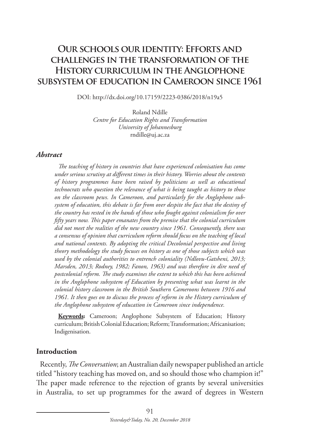# **Our schools our identity: Efforts and challenges in the transformation of the History curriculum in the Anglophone subsystem of education in Cameroon since 1961**

DOI: http://dx.doi.org/10.17159/2223-0386/2018/n19a5

Roland Ndille *Centre for Education Rights and Transformation University of Johannesburg* rndille@uj.ac.za

#### *Abstract*

*The teaching of history in countries that have experienced colonisation has come under serious scrutiny at different times in their history. Worries about the contents of history programmes have been raised by politicians as well as educational technocrats who question the relevance of what is being taught as history to those on the classroom pews. In Cameroon, and particularly for the Anglophone subsystem of education, this debate is far from over despite the fact that the destiny of the country has rested in the hands of those who fought against colonialism for over fifty years now. This paper emanates from the premise that the colonial curriculum did not meet the realities of the new country since 1961. Consequently, there was a consensus of opinion that curriculum reform should focus on the teaching of local and national contents. By adopting the critical Decolonial perspective and living theory methodology the study focuses on history as one of those subjects which was used by the colonial authorities to entrench coloniality (Ndlovu-Gatsheni, 2013; Marsden, 2013; Rodney, 1982; Fanon, 1963) and was therefore in dire need of postcolonial reform. The study examines the extent to which this has been achieved in the Anglophone subsystem of Education by presenting what was learnt in the colonial history classroom in the British Southern Cameroons between 1916 and 1961. It then goes on to discuss the process of reform in the History curriculum of the Anglophone subsystem of education in Cameroon since independence.* 

**Keywords:** Cameroon; Anglophone Subsystem of Education; History curriculum; British Colonial Education; Reform; Transformation; Africanisation; Indigenisation.

#### **Introduction**

Recently, *The Conversation*; an Australian daily newspaper published an article titled "history teaching has moved on, and so should those who champion it!" The paper made reference to the rejection of grants by several universities in Australia, to set up programmes for the award of degrees in Western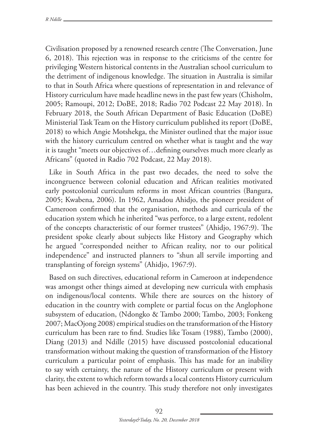Civilisation proposed by a renowned research centre (The Conversation, June 6, 2018). This rejection was in response to the criticisms of the centre for privileging Western historical contents in the Australian school curriculum to the detriment of indigenous knowledge. The situation in Australia is similar to that in South Africa where questions of representation in and relevance of History curriculum have made headline news in the past few years (Chisholm, 2005; Ramoupi, 2012; DoBE, 2018; Radio 702 Podcast 22 May 2018). In February 2018, the South African Department of Basic Education (DoBE) Ministerial Task Team on the History curriculum published its report (DoBE, 2018) to which Angie Motshekga, the Minister outlined that the major issue with the history curriculum centred on whether what is taught and the way it is taught "meets our objectives of…defining ourselves much more clearly as Africans" (quoted in Radio 702 Podcast, 22 May 2018).

Like in South Africa in the past two decades, the need to solve the incongruence between colonial education and African realities motivated early postcolonial curriculum reforms in most African countries (Bangura, 2005; Kwabena, 2006). In 1962, Amadou Ahidjo, the pioneer president of Cameroon confirmed that the organisation, methods and curricula of the education system which he inherited "was perforce, to a large extent, redolent of the concepts characteristic of our former trustees" (Ahidjo, 1967:9). The president spoke clearly about subjects like History and Geography which he argued "corresponded neither to African reality, nor to our political independence" and instructed planners to "shun all servile importing and transplanting of foreign systems" (Ahidjo, 1967:9).

Based on such directives, educational reform in Cameroon at independence was amongst other things aimed at developing new curricula with emphasis on indigenous/local contents. While there are sources on the history of education in the country with complete or partial focus on the Anglophone subsystem of education, (Ndongko & Tambo 2000; Tambo, 2003; Fonkeng 2007; MacOjong 2008) empirical studies on the transformation of the History curriculum has been rare to find. Studies like Tosam (1988), Tambo (2000), Diang (2013) and Ndille (2015) have discussed postcolonial educational transformation without making the question of transformation of the History curriculum a particular point of emphasis. This has made for an inability to say with certainty, the nature of the History curriculum or present with clarity, the extent to which reform towards a local contents History curriculum has been achieved in the country. This study therefore not only investigates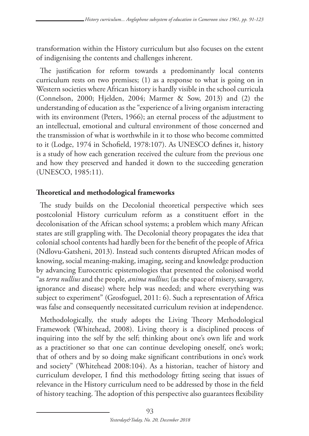transformation within the History curriculum but also focuses on the extent of indigenising the contents and challenges inherent.

The justification for reform towards a predominantly local contents curriculum rests on two premises; (1) as a response to what is going on in Western societies where African history is hardly visible in the school curricula (Connelson, 2000; Hjelden, 2004; Marmer & Sow, 2013) and (2) the understanding of education as the "experience of a living organism interacting with its environment (Peters, 1966); an eternal process of the adjustment to an intellectual, emotional and cultural environment of those concerned and the transmission of what is worthwhile in it to those who become committed to it (Lodge, 1974 in Schofield, 1978:107). As UNESCO defines it, history is a study of how each generation received the culture from the previous one and how they preserved and handed it down to the succeeding generation (UNESCO, 1985:11).

## **Theoretical and methodological frameworks**

The study builds on the Decolonial theoretical perspective which sees postcolonial History curriculum reform as a constituent effort in the decolonisation of the African school systems; a problem which many African states are still grappling with. The Decolonial theory propagates the idea that colonial school contents had hardly been for the benefit of the people of Africa (Ndlovu-Gatsheni, 2013). Instead such contents disrupted African modes of knowing, social meaning-making, imaging, seeing and knowledge production by advancing Eurocentric epistemologies that presented the colonised world "as *terra nullius* and the people, *anima nullius*; (as the space of misery, savagery, ignorance and disease) where help was needed; and where everything was subject to experiment" (Grosfoguel, 2011: 6). Such a representation of Africa was false and consequently necessitated curriculum revision at independence.

Methodologically, the study adopts the Living Theory Methodological Framework (Whitehead, 2008). Living theory is a disciplined process of inquiring into the self by the self; thinking about one's own life and work as a practitioner so that one can continue developing oneself, one's work; that of others and by so doing make significant contributions in one's work and society" (Whitehead 2008:104). As a historian, teacher of history and curriculum developer, I find this methodology fitting seeing that issues of relevance in the History curriculum need to be addressed by those in the field of history teaching. The adoption of this perspective also guarantees flexibility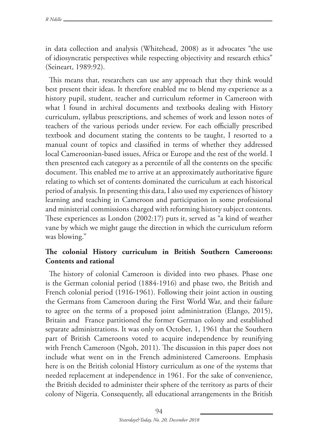in data collection and analysis (Whitehead, 2008) as it advocates "the use of idiosyncratic perspectives while respecting objectivity and research ethics" (Seineart, 1989:92).

This means that, researchers can use any approach that they think would best present their ideas. It therefore enabled me to blend my experience as a history pupil, student, teacher and curriculum reformer in Cameroon with what I found in archival documents and textbooks dealing with History curriculum, syllabus prescriptions, and schemes of work and lesson notes of teachers of the various periods under review. For each officially prescribed textbook and document stating the contents to be taught, I resorted to a manual count of topics and classified in terms of whether they addressed local Cameroonian-based issues, Africa or Europe and the rest of the world. I then presented each category as a percentile of all the contents on the specific document. This enabled me to arrive at an approximately authoritative figure relating to which set of contents dominated the curriculum at each historical period of analysis. In presenting this data, I also used my experiences of history learning and teaching in Cameroon and participation in some professional and ministerial commissions charged with reforming history subject contents. These experiences as London (2002:17) puts it, served as "a kind of weather vane by which we might gauge the direction in which the curriculum reform was blowing."

## **The colonial History curriculum in British Southern Cameroons: Contents and rational**

The history of colonial Cameroon is divided into two phases. Phase one is the German colonial period (1884-1916) and phase two, the British and French colonial period (1916-1961). Following their joint action in ousting the Germans from Cameroon during the First World War, and their failure to agree on the terms of a proposed joint administration (Elango, 2015), Britain and France partitioned the former German colony and established separate administrations. It was only on October, 1, 1961 that the Southern part of British Cameroons voted to acquire independence by reunifying with French Cameroon (Ngoh, 2011). The discussion in this paper does not include what went on in the French administered Cameroons. Emphasis here is on the British colonial History curriculum as one of the systems that needed replacement at independence in 1961. For the sake of convenience, the British decided to administer their sphere of the territory as parts of their colony of Nigeria. Consequently, all educational arrangements in the British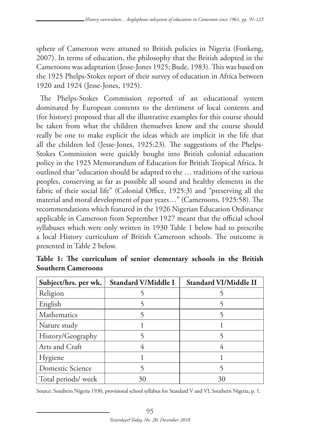sphere of Cameroon were attuned to British policies in Nigeria (Fonkeng, 2007). In terms of education, the philosophy that the British adopted in the Cameroons was adaptation (Jesse-Jones 1925; Bude, 1983). This was based on the 1925 Phelps-Stokes report of their survey of education in Africa between 1920 and 1924 (Jesse-Jones, 1925).

The Phelps-Stokes Commission reported of an educational system dominated by European contents to the detriment of local contents and (for history) proposed that all the illustrative examples for this course should be taken from what the children themselves know and the course should really be one to make explicit the ideas which are implicit in the life that all the children led (Jesse-Jones, 1925:23). The suggestions of the Phelps-Stokes Commission were quickly bought into British colonial education policy in the 1925 Memorandum of Education for British Tropical Africa. It outlined that "education should be adapted to the … traditions of the various peoples, conserving as far as possible all sound and healthy elements in the fabric of their social life" (Colonial Office, 1925:3) and "preserving all the material and moral development of past years…" (Cameroons, 1925:58). The recommendations which featured in the 1926 Nigerian Education Ordinance applicable in Cameroon from September 1927 meant that the official school syllabuses which were only written in 1930 Table 1 below had to prescribe a local History curriculum of British Cameroon schools. The outcome is presented in Table 2 below.

| Subject/hrs. per wk. | <b>Standard V/Middle I</b> | <b>Standard VI/Middle II</b> |
|----------------------|----------------------------|------------------------------|
| Religion             |                            |                              |
| English              |                            |                              |
| Mathematics          |                            |                              |
| Nature study         |                            |                              |
| History/Geography    |                            |                              |
| Arts and Craft       |                            |                              |
| Hygiene              |                            |                              |
| Domestic Science     |                            |                              |
| Total periods/ week  | 30                         | 30                           |

**Table 1: The curriculum of senior elementary schools in the British Southern Cameroons**

Source: Southern Nigeria 1930, provisional school syllabus for Standard V and VI, Southern Nigeria, p. 1.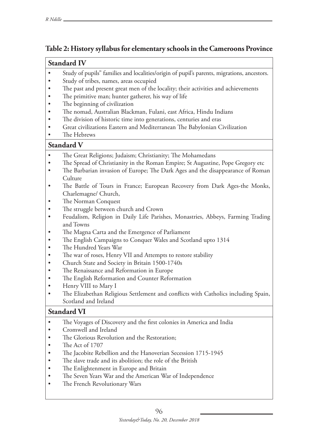### **Table 2: History syllabus for elementary schools in the Cameroons Province**

#### **Standard IV**

- • Study of pupils" families and localities/origin of pupil's parents, migrations, ancestors.
- Study of tribes, names, areas occupied
- The past and present great men of the locality; their activities and achievements
- The primitive man; hunter gatherer, his way of life
- The beginning of civilization
- The nomad, Australian Blackman, Fulani, east Africa, Hindu Indians
- The division of historic time into generations, centuries and eras
- Great civilizations Eastern and Mediterranean The Babylonian Civilization
- The Hebrews

### **Standard V**

- The Great Religions; Judaism; Christianity; The Mohamedans
- The Spread of Christianity in the Roman Empire; St Augustine, Pope Gregory etc
- The Barbarian invasion of Europe; The Dark Ages and the disappearance of Roman Culture
- The Battle of Tours in France; European Recovery from Dark Ages-the Monks, Charlemagne/ Church,
- The Norman Conquest
- The struggle between church and Crown
- Feudalism, Religion in Daily Life Parishes, Monastries, Abbeys, Farming Trading and Towns
- The Magna Carta and the Emergence of Parliament
- The English Campaigns to Conquer Wales and Scotland upto 1314
- The Hundred Years War
- The war of roses, Henry VII and Attempts to restore stability
- Church State and Society in Britain 1500-1740s
- The Renaissance and Reformation in Europe
- The English Reformation and Counter Reformation
- Henry VIII to Mary I
- The Elizabethan Religious Settlement and conflicts with Catholics including Spain, Scotland and Ireland

### **Standard VI**

- The Voyages of Discovery and the first colonies in America and India
- • Cromwell and Ireland
- The Glorious Revolution and the Restoration;
- The Act of 1707
- The Jacobite Rebellion and the Hanoverian Secession 1715-1945
- The slave trade and its abolition; the role of the British
- The Enlightenment in Europe and Britain
- The Seven Years War and the American War of Independence
- The French Revolutionary Wars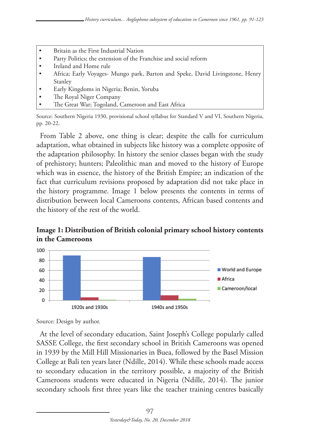- Britain as the First Industrial Nation
- Party Politics; the extension of the Franchise and social reform
- Ireland and Home rule
- Africa; Early Voyages- Mungo park, Barton and Speke, David Livingstone, Henry Stanley
- Early Kingdoms in Nigeria; Benin, Yoruba
- The Royal Niger Company
- The Great War; Togoland, Cameroon and East Africa

From Table 2 above, one thing is clear; despite the calls for curriculum adaptation, what obtained in subjects like history was a complete opposite of the adaptation philosophy. In history the senior classes began with the study of prehistory; hunters; Paleolithic man and moved to the history of Europe which was in essence, the history of the British Empire; an indication of the fact that curriculum revisions proposed by adaptation did not take place in the history programme. Image 1 below presents the contents in terms of distribution between local Cameroons contents, African based contents and the history of the rest of the world.





Source: Design by author.

At the level of secondary education, Saint Joseph's College popularly called SASSE College, the first secondary school in British Cameroons was opened in 1939 by the Mill Hill Missionaries in Buea, followed by the Basel Mission College at Bali ten years later (Ndille, 2014). While these schools made access to secondary education in the territory possible, a majority of the British Cameroons students were educated in Nigeria (Ndille, 2014). The junior secondary schools first three years like the teacher training centres basically

Source: Southern Nigeria 1930, provisional school syllabus for Standard V and VI, Southern Nigeria, pp. 20-22.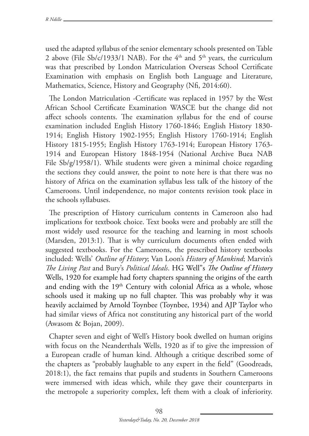used the adapted syllabus of the senior elementary schools presented on Table 2 above (File Sb/c/1933/1 NAB). For the  $4<sup>th</sup>$  and  $5<sup>th</sup>$  years, the curriculum was that prescribed by London Matriculation Overseas School Certificate Examination with emphasis on English both Language and Literature, Mathematics, Science, History and Geography (Nfi, 2014:60).

The London Matriculation -Certificate was replaced in 1957 by the West African School Certificate Examination WASCE but the change did not affect schools contents. The examination syllabus for the end of course examination included English History 1760-1846; English History 1830- 1914; English History 1902-1955; English History 1760-1914; English History 1815-1955; English History 1763-1914; European History 1763- 1914 and European History 1848-1954 (National Archive Buea NAB File Sb/g/1958/1). While students were given a minimal choice regarding the sections they could answer, the point to note here is that there was no history of Africa on the examination syllabus less talk of the history of the Cameroons. Until independence, no major contents revision took place in the schools syllabuses.

The prescription of History curriculum contents in Cameroon also had implications for textbook choice. Text books were and probably are still the most widely used resource for the teaching and learning in most schools (Marsden, 2013:1). That is why curriculum documents often ended with suggested textbooks. For the Cameroons, the prescribed history textbooks included: Wells' *Outline of History*; Van Loon's *History of Mankind*; Marvin's *The Living Past* and Bury's *Political Ideals*. HG Well"s *The Outline of History* Wells, 1920 for example had forty chapters spanning the origins of the earth and ending with the 19<sup>th</sup> Century with colonial Africa as a whole, whose schools used it making up no full chapter. This was probably why it was heavily acclaimed by Arnold Toynbee (Toynbee, 1934) and AJP Taylor who had similar views of Africa not constituting any historical part of the world (Awasom & Bojan, 2009).

Chapter seven and eight of Well's History book dwelled on human origins with focus on the Neanderthals Wells, 1920 as if to give the impression of a European cradle of human kind. Although a critique described some of the chapters as "probably laughable to any expert in the field" (Goodreads, 2018:1), the fact remains that pupils and students in Southern Cameroons were immersed with ideas which, while they gave their counterparts in the metropole a superiority complex, left them with a cloak of inferiority.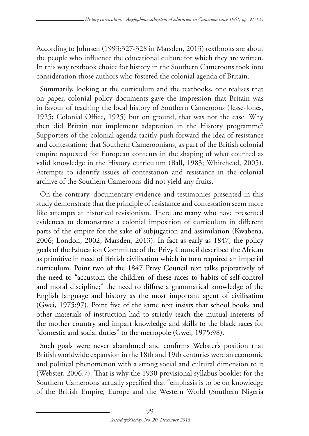According to Johnsen (1993:327-328 in Marsden, 2013) textbooks are about the people who influence the educational culture for which they are written. In this way textbook choice for history in the Southern Cameroons took into consideration those authors who fostered the colonial agenda of Britain.

Summarily, looking at the curriculum and the textbooks, one realises that on paper, colonial policy documents gave the impression that Britain was in favour of teaching the local history of Southern Cameroons (Jesse-Jones, 1925; Colonial Office, 1925) but on ground, that was not the case. Why then did Britain not implement adaptation in the History programme? Supporters of the colonial agenda tacitly push forward the idea of resistance and contestation; that Southern Cameroonians, as part of the British colonial empire requested for European contents in the shaping of what counted as valid knowledge in the History curriculum (Ball, 1983; Whitehead, 2005). Attempts to identify issues of contestation and resistance in the colonial archive of the Southern Cameroons did not yield any fruits.

On the contrary, documentary evidence and testimonies presented in this study demonstrate that the principle of resistance and contestation seem more like attempts at historical revisionism. There are many who have presented evidences to demonstrate a colonial imposition of curriculum in different parts of the empire for the sake of subjugation and assimilation (Kwabena, 2006; London, 2002; Marsden, 2013). In fact as early as 1847, the policy goals of the Education Committee of the Privy Council described the African as primitive in need of British civilisation which in turn required an imperial curriculum. Point two of the 1847 Privy Council text talks pejoratively of the need to "accustom the children of these races to habits of self-control and moral discipline;" the need to diffuse a grammatical knowledge of the English language and history as the most important agent of civilisation (Gwei, 1975:97). Point five of the same text insists that school books and other materials of instruction had to strictly teach the mutual interests of the mother country and impart knowledge and skills to the black races for "domestic and social duties" to the metropole (Gwei, 1975:98).

Such goals were never abandoned and confirms Webster's position that British worldwide expansion in the 18th and 19th centuries were an economic and political phenomenon with a strong social and cultural dimension to it (Webster, 2006:7). That is why the 1930 provisional syllabus booklet for the Southern Cameroons actually specified that "emphasis is to be on knowledge of the British Empire, Europe and the Western World (Southern Nigeria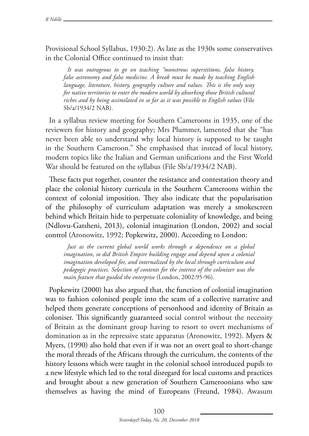Provisional School Syllabus, 1930:2). As late as the 1930s some conservatives in the Colonial Office continued to insist that:

*It was outrageous to go on teaching "monstrous superstitions, false history, false astronomy and false medicine. A break must be made by teaching English language, literature, history, geography culture and values. This is the only way for native territories to enter the modern world by absorbing those British cultural riches and by being assimilated in so far as it was possible to English values* (File Sb/a/1934/2 NAB).

In a syllabus review meeting for Southern Cameroons in 1935, one of the reviewers for history and geography; Mrs Plummer, lamented that she "has never been able to understand why local history is supposed to be taught in the Southern Cameroon." She emphasised that instead of local history, modern topics like the Italian and German unifications and the First World War should be featured on the syllabus (File Sb/a/1934/2 NAB).

These facts put together, counter the resistance and contestation theory and place the colonial history curricula in the Southern Cameroons within the context of colonial imposition. They also indicate that the popularisation of the philosophy of curriculum adaptation was merely a smokescreen behind which Britain hide to perpetuate coloniality of knowledge, and being (Ndlovu-Gatsheni, 2013), colonial imagination (London, 2002) and social control (Aronowitz, 1992; Popkewitz, 2000). According to London:

*Just as the current global world works through a dependence on a global imagination, so did British Empire building engage and depend upon a colonial imagination developed for, and internalized by the local through curriculum and pedagogic practices. Selection of contents for the interest of the colonizer was the main feature that guided the enterprise* (London, 2002:95-96).

Popkewitz (2000) has also argued that, the function of colonial imagination was to fashion colonised people into the seam of a collective narrative and helped them generate conceptions of personhood and identity of Britain as coloniser. This significantly guaranteed social control without the necessity of Britain as the dominant group having to resort to overt mechanisms of domination as in the repressive state apparatus (Aronowitz, 1992). Myers & Myers, (1990) also hold that even if it was not an overt goal to short-change the moral threads of the Africans through the curriculum, the contents of the history lessons which were taught in the colonial school introduced pupils to a new lifestyle which led to the total disregard for local customs and practices and brought about a new generation of Southern Cameroonians who saw themselves as having the mind of Europeans (Freund, 1984). Awasum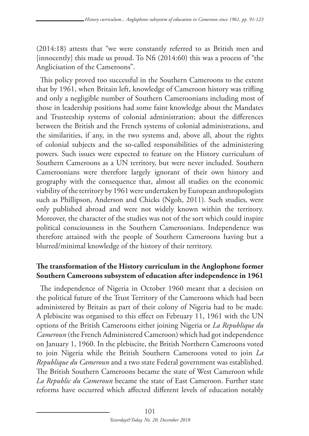(2014:18) attests that "we were constantly referred to as British men and [innocently] this made us proud. To  $Nf_i$  (2014:60) this was a process of "the Anglicisation of the Cameroons".

This policy proved too successful in the Southern Cameroons to the extent that by 1961, when Britain left, knowledge of Cameroon history was trifling and only a negligible number of Southern Cameroonians including most of those in leadership positions had some faint knowledge about the Mandates and Trusteeship systems of colonial administration; about the differences between the British and the French systems of colonial administrations, and the similarities, if any, in the two systems and, above all, about the rights of colonial subjects and the so-called responsibilities of the administering powers. Such issues were expected to feature on the History curriculum of Southern Cameroons as a UN territory, but were never included. Southern Cameroonians were therefore largely ignorant of their own history and geography with the consequence that, almost all studies on the economic viability of the territory by 1961 were undertaken by European anthropologists such as Phillipson, Anderson and Chicks (Ngoh, 2011). Such studies, were only published abroad and were not widely known within the territory. Moreover, the character of the studies was not of the sort which could inspire political consciousness in the Southern Cameroonians. Independence was therefore attained with the people of Southern Cameroons having but a blurred/minimal knowledge of the history of their territory.

## **The transformation of the History curriculum in the Anglophone former Southern Cameroons subsystem of education after independence in 1961**

The independence of Nigeria in October 1960 meant that a decision on the political future of the Trust Territory of the Cameroons which had been administered by Britain as part of their colony of Nigeria had to be made. A plebiscite was organised to this effect on February 11, 1961 with the UN options of the British Cameroons either joining Nigeria or *La Republique du Cameroun* (the French Administered Cameroon) which had got independence on January 1, 1960. In the plebiscite, the British Northern Cameroons voted to join Nigeria while the British Southern Cameroons voted to join *La Republique du Cameroun* and a two state Federal government was established. The British Southern Cameroons became the state of West Cameroon while *La Republic du Cameroun* became the state of East Cameroon. Further state reforms have occurred which affected different levels of education notably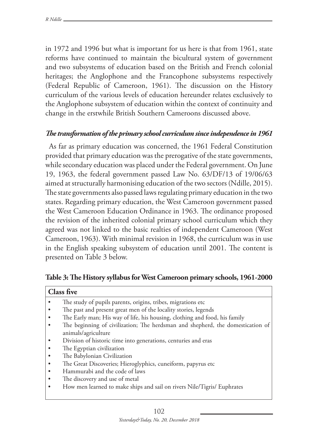in 1972 and 1996 but what is important for us here is that from 1961, state reforms have continued to maintain the bicultural system of government and two subsystems of education based on the British and French colonial heritages; the Anglophone and the Francophone subsystems respectively (Federal Republic of Cameroon, 1961). The discussion on the History curriculum of the various levels of education hereunder relates exclusively to the Anglophone subsystem of education within the context of continuity and change in the erstwhile British Southern Cameroons discussed above.

### *The transformation of the primary school curriculum since independence in 1961*

As far as primary education was concerned, the 1961 Federal Constitution provided that primary education was the prerogative of the state governments, while secondary education was placed under the Federal government. On June 19, 1963, the federal government passed Law No. 63/DF/13 of 19/06/63 aimed at structurally harmonising education of the two sectors (Ndille, 2015). The state governments also passed laws regulating primary education in the two states. Regarding primary education, the West Cameroon government passed the West Cameroon Education Ordinance in 1963. The ordinance proposed the revision of the inherited colonial primary school curriculum which they agreed was not linked to the basic realties of independent Cameroon (West Cameroon, 1963). With minimal revision in 1968, the curriculum was in use in the English speaking subsystem of education until 2001. The content is presented on Table 3 below.

| <b>Class five</b>                                                              |
|--------------------------------------------------------------------------------|
| The study of pupils parents, origins, tribes, migrations etc                   |
| The past and present great men of the locality stories, legends                |
| The Early man; His way of life, his housing, clothing and food, his family     |
| The beginning of civilization; The herdsman and shepherd, the domestication of |
| animals/agriculture                                                            |
| Division of historic time into generations, centuries and eras                 |
| The Egyptian civilization                                                      |
| The Babylonian Civilization                                                    |
| The Great Discoveries; Hieroglyphics, cuneiform, papyrus etc                   |
| Hammurabi and the code of laws                                                 |
| The discovery and use of metal                                                 |
| How men learned to make ships and sail on rivers Nile/Tigris/ Euphrates        |
|                                                                                |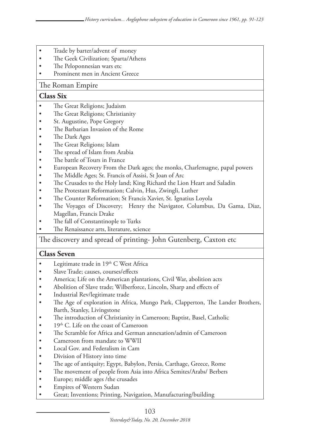- Trade by barter/advent of money
- The Geek Civilization; Sparta/Athens
- The Peloponnesian wars etc
- Prominent men in Ancient Greece

#### The Roman Empire

#### **Class Six**

- The Great Religions; Judaism
- The Great Religions; Christianity
- St. Augustine, Pope Gregory
- The Barbarian Invasion of the Rome
- The Dark Ages
- The Great Religions; Islam
- The spread of Islam from Arabia
- The battle of Tours in France
- European Recovery From the Dark ages; the monks, Charlemagne, papal powers
- The Middle Ages; St. Francis of Assisi, St Joan of Arc
- The Crusades to the Holy land; King Richard the Lion Heart and Saladin
- The Protestant Reformation; Calvin, Hus, Zwingli, Luther
- The Counter Reformation; St Francis Xavier, St. Ignatius Loyola
- The Voyages of Discovery; Henry the Navigator, Columbus, Da Gama, Diaz, Magellan, Francis Drake
- The fall of Constantinople to Turks
- The Renaissance arts, literature, science

The discovery and spread of printing- John Gutenberg, Caxton etc

#### **Class Seven**

- Legitimate trade in  $19<sup>th</sup>$  C West Africa
- • Slave Trade; causes, courses/effects
- America; Life on the American plantations, Civil War, abolition acts
- Abolition of Slave trade; Wilberforce, Lincoln, Sharp and effects of
- Industrial Rev/legitimate trade
- The Age of exploration in Africa, Mungo Park, Clapperton, The Lander Brothers, Barth, Stanley, Livingstone
- The introduction of Christianity in Cameroon; Baptist, Basel, Catholic
- $19<sup>th</sup>$  C. Life on the coast of Cameroon
- The Scramble for Africa and German annexation/admin of Cameroon
- Cameroon from mandate to WWII
- Local Gov. and Federalism in Cam
- Division of History into time
- The age of antiquity; Egypt, Babylon, Persia, Carthage, Greece, Rome
- The movement of people from Asia into Africa Semites/Arabs/ Berbers
- Europe; middle ages /the crusades
- Empires of Western Sudan
- Great; Inventions; Printing, Navigation, Manufacturing/building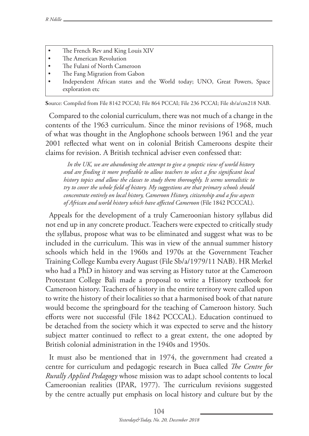- The French Rev and King Louis XIV
- The American Revolution<br>• The Fulani of North Came
- The Fulani of North Cameroon<br>• The Fang Migration from Gabo
- The Fang Migration from Gabon
- Independent African states and the World today; UNO, Great Powers, Space exploration etc

**S**ource: Compiled from File 8142 PCCAI; File 864 PCCAI; File 236 PCCAI; File sb/a/cm218 NAB.

Compared to the colonial curriculum, there was not much of a change in the contents of the 1963 curriculum. Since the minor revisions of 1968, much of what was thought in the Anglophone schools between 1961 and the year 2001 reflected what went on in colonial British Cameroons despite their claims for revision. A British technical adviser even confessed that:

*In the UK, we are abandoning the attempt to give a synoptic view of world history and are finding it more profitable to allow teachers to select a few significant local history topics and allow the classes to study them thoroughly. It seems unrealistic to try to cover the whole field of history. My suggestions are that primary schools should concentrate entirely on local history, Cameroon History, citizenship and a few aspects of African and world history which have affected Cameroon* (File 1842 PCCCAL).

Appeals for the development of a truly Cameroonian history syllabus did not end up in any concrete product. Teachers were expected to critically study the syllabus, propose what was to be eliminated and suggest what was to be included in the curriculum. This was in view of the annual summer history schools which held in the 1960s and 1970s at the Government Teacher Training College Kumba every August (File Sb/a/1979/11 NAB). HR Merkel who had a PhD in history and was serving as History tutor at the Cameroon Protestant College Bali made a proposal to write a History textbook for Cameroon history. Teachers of history in the entire territory were called upon to write the history of their localities so that a harmonised book of that nature would become the springboard for the teaching of Cameroon history. Such efforts were not successful (File 1842 PCCCAL). Education continued to be detached from the society which it was expected to serve and the history subject matter continued to reflect to a great extent, the one adopted by British colonial administration in the 1940s and 1950s.

It must also be mentioned that in 1974, the government had created a centre for curriculum and pedagogic research in Buea called *The Centre for Rurally Applied Pedagogy* whose mission was to adapt school contents to local Cameroonian realities (IPAR, 1977). The curriculum revisions suggested by the centre actually put emphasis on local history and culture but by the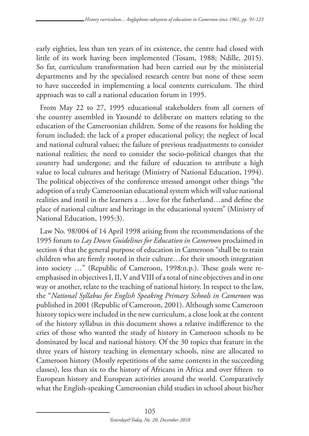early eighties, less than ten years of its existence, the centre had closed with little of its work having been implemented (Tosam, 1988; Ndille, 2015). So far, curriculum transformation had been carried out by the ministerial departments and by the specialised research centre but none of these seem to have succeeded in implementing a local contents curriculum. The third approach was to call a national education forum in 1995.

From May 22 to 27, 1995 educational stakeholders from all corners of the country assembled in Yaoundé to deliberate on matters relating to the education of the Cameroonian children. Some of the reasons for holding the forum included; the lack of a proper educational policy; the neglect of local and national cultural values; the failure of previous readjustments to consider national realities; the need to consider the socio-political changes that the country had undergone; and the failure of education to attribute a high value to local cultures and heritage (Ministry of National Education, 1994). The political objectives of the conference stressed amongst other things "the adoption of a truly Cameroonian educational system which will value national realities and instil in the learners a …love for the fatherland…and define the place of national culture and heritage in the educational system" (Ministry of National Education, 1995:3).

Law No. 98/004 of 14 April 1998 arising from the recommendations of the 1995 forum to *Lay Down Guidelines for Education in Cameroon* proclaimed in section 4 that the general purpose of education in Cameroon "shall be to train children who are firmly rooted in their culture…for their smooth integration into society …" (Republic of Cameroon, 1998:n.p.). These goals were reemphasised in objectives I, II, V and VIII of a total of nine objectives and in one way or another, relate to the teaching of national history. In respect to the law, the "*National Syllabus for English Speaking Primary Schools in Cameroon* was published in 2001 (Republic of Cameroon, 2001). Although some Cameroon history topics were included in the new curriculum, a close look at the content of the history syllabus in this document shows a relative indifference to the cries of those who wanted the study of history in Cameroon schools to be dominated by local and national history. Of the 30 topics that feature in the three years of history teaching in elementary schools, nine are allocated to Cameroon history (Mostly repetitions of the same contents in the succeeding classes), less than six to the history of Africans in Africa and over fifteen to European history and European activities around the world. Comparatively what the English-speaking Cameroonian child studies in school about his/her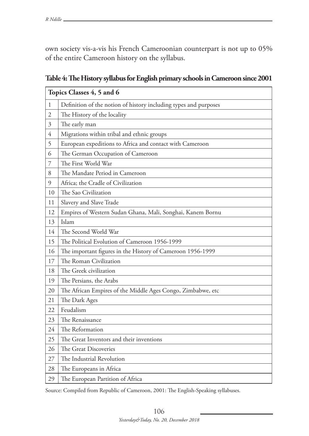own society vis-a-vis his French Cameroonian counterpart is not up to 05% of the entire Cameroon history on the syllabus.

|                | Topics Classes 4, 5 and 6                                        |  |  |
|----------------|------------------------------------------------------------------|--|--|
| $\mathbf{1}$   | Definition of the notion of history including types and purposes |  |  |
| $\overline{2}$ | The History of the locality                                      |  |  |
| $\mathfrak{Z}$ | The early man                                                    |  |  |
| $\overline{4}$ | Migrations within tribal and ethnic groups                       |  |  |
| 5              | European expeditions to Africa and contact with Cameroon         |  |  |
| 6              | The German Occupation of Cameroon                                |  |  |
| 7              | The First World War                                              |  |  |
| 8              | The Mandate Period in Cameroon                                   |  |  |
| 9              | Africa; the Cradle of Civilization                               |  |  |
| 10             | The Sao Civilization                                             |  |  |
| 11             | Slavery and Slave Trade                                          |  |  |
| 12             | Empires of Western Sudan Ghana, Mali, Songhai, Kanem Bornu       |  |  |
| 13             | Islam                                                            |  |  |
| 14             | The Second World War                                             |  |  |
| 15             | The Political Evolution of Cameroon 1956-1999                    |  |  |
| 16             | The important figures in the History of Cameroon 1956-1999       |  |  |
| 17             | The Roman Civilization                                           |  |  |
| 18             | The Greek civilization                                           |  |  |
| 19             | The Persians, the Arabs                                          |  |  |
| 20             | The African Empires of the Middle Ages Congo, Zimbabwe, etc      |  |  |
| 21             | The Dark Ages                                                    |  |  |
| 22             | Feudalism                                                        |  |  |
| 23             | The Renaissance                                                  |  |  |
| 24             | The Reformation                                                  |  |  |
| 25             | The Great Inventors and their inventions                         |  |  |
| 26             | The Great Discoveries                                            |  |  |
| 27             | The Industrial Revolution                                        |  |  |
| 28             | The Europeans in Africa                                          |  |  |
| 29             | The European Partition of Africa                                 |  |  |

**Table 4: The History syllabus for English primary schools in Cameroon since 2001**

Source: Compiled from Republic of Cameroon, 2001: The English-Speaking syllabuses.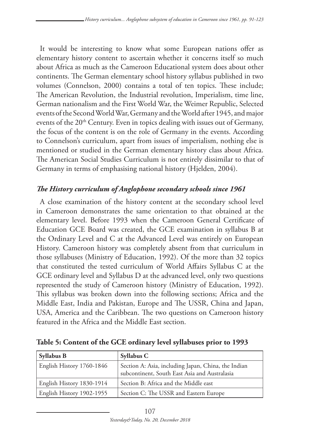It would be interesting to know what some European nations offer as elementary history content to ascertain whether it concerns itself so much about Africa as much as the Cameroon Educational system does about other continents. The German elementary school history syllabus published in two volumes (Connelson, 2000) contains a total of ten topics. These include; The American Revolution, the Industrial revolution, Imperialism, time line, German nationalism and the First World War, the Weimer Republic, Selected events of the Second World War, Germany and the World after 1945, and major events of the 20<sup>th</sup> Century. Even in topics dealing with issues out of Germany, the focus of the content is on the role of Germany in the events. According to Connelson's curriculum, apart from issues of imperialism, nothing else is mentioned or studied in the German elementary history class about Africa. The American Social Studies Curriculum is not entirely dissimilar to that of Germany in terms of emphasising national history (Hjelden, 2004).

## *The History curriculum of Anglophone secondary schools since 1961*

A close examination of the history content at the secondary school level in Cameroon demonstrates the same orientation to that obtained at the elementary level. Before 1993 when the Cameroon General Certificate of Education GCE Board was created, the GCE examination in syllabus B at the Ordinary Level and C at the Advanced Level was entirely on European History. Cameroon history was completely absent from that curriculum in those syllabuses (Ministry of Education, 1992). Of the more than 32 topics that constituted the tested curriculum of World Affairs Syllabus C at the GCE ordinary level and Syllabus D at the advanced level, only two questions represented the study of Cameroon history (Ministry of Education, 1992). This syllabus was broken down into the following sections; Africa and the Middle East, India and Pakistan, Europe and The USSR, China and Japan, USA, America and the Caribbean. The two questions on Cameroon history featured in the Africa and the Middle East section.

| <b>Syllabus B</b>         | Syllabus C                                                                                           |
|---------------------------|------------------------------------------------------------------------------------------------------|
| English History 1760-1846 | Section A: Asia, including Japan, China, the Indian<br>subcontinent, South East Asia and Australasia |
| English History 1830-1914 | Section B: Africa and the Middle east                                                                |
| English History 1902-1955 | Section C: The USSR and Eastern Europe                                                               |

**Table 5: Content of the GCE ordinary level syllabuses prior to 1993**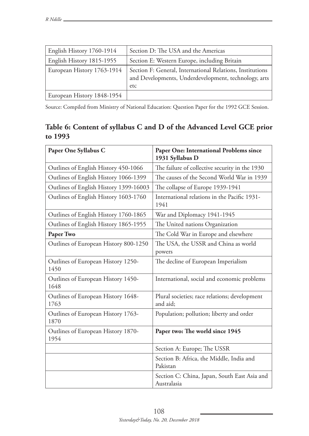| English History 1760-1914  | Section D: The USA and the Americas                                                                                      |
|----------------------------|--------------------------------------------------------------------------------------------------------------------------|
| English History 1815-1955  | Section E: Western Europe, including Britain                                                                             |
| European History 1763-1914 | Section F: General, International Relations, Institutions<br>and Developments, Underdevelopment, technology, arts<br>etc |
| European History 1848-1954 |                                                                                                                          |

Source: Compiled from Ministry of National Education: Question Paper for the 1992 GCE Session.

## **Table 6: Content of syllabus C and D of the Advanced Level GCE prior to 1993**

| Paper One Syllabus C                       | Paper One: International Problems since<br>1931 Syllabus D  |
|--------------------------------------------|-------------------------------------------------------------|
| Outlines of English History 450-1066       | The failure of collective security in the 1930              |
| Outlines of English History 1066-1399      | The causes of the Second World War in 1939                  |
| Outlines of English History 1399-16003     | The collapse of Europe 1939-1941                            |
| Outlines of English History 1603-1760      | International relations in the Pacific 1931-<br>1941        |
| Outlines of English History 1760-1865      | War and Diplomacy 1941-1945                                 |
| Outlines of English History 1865-1955      | The United nations Organization                             |
| Paper Two                                  | The Cold War in Europe and elsewhere                        |
| Outlines of European History 800-1250      | The USA, the USSR and China as world<br>powers              |
| Outlines of European History 1250-<br>1450 | The decline of European Imperialism                         |
| Outlines of European History 1450-<br>1648 | International, social and economic problems                 |
| Outlines of European History 1648-<br>1763 | Plural societies; race relations; development<br>and aid;   |
| Outlines of European History 1763-<br>1870 | Population; pollution; liberty and order                    |
| Outlines of European History 1870-<br>1954 | Paper two: The world since 1945                             |
|                                            | Section A: Europe; The USSR                                 |
|                                            | Section B: Africa, the Middle, India and<br>Pakistan        |
|                                            | Section C: China, Japan, South East Asia and<br>Australasia |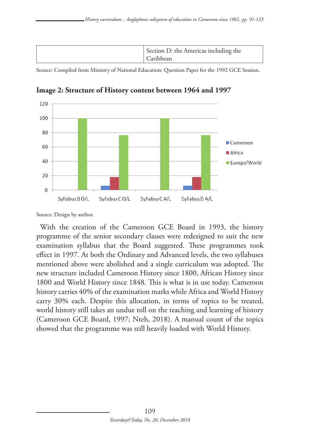| Section D: the Americas including the<br>Caribbean |
|----------------------------------------------------|
|----------------------------------------------------|

Source: Compiled from Ministry of National Education: Question Paper for the 1992 GCE Session.



**Image 2: Structure of History content between 1964 and 1997**

With the creation of the Cameroon GCE Board in 1993, the history programme of the senior secondary classes were redesigned to suit the new examination syllabus that the Board suggested. These programmes took effect in 1997. At both the Ordinary and Advanced levels, the two syllabuses mentioned above were abolished and a single curriculum was adopted. The new structure included Cameroon History since 1800, African History since 1800 and World History since 1848. This is what is in use today. Cameroon history carries 40% of the examination marks while Africa and World History carry 30% each. Despite this allocation, in terms of topics to be treated, world history still takes an undue toll on the teaching and learning of history (Cameroon GCE Board, 1997; Nteh, 2018). A manual count of the topics showed that the programme was still heavily loaded with World History.

Source: Design by author.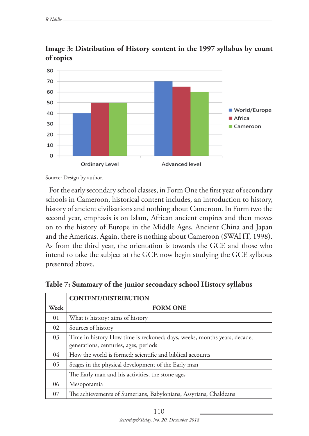

**Image 3: Distribution of History content in the 1997 syllabus by count of topics**

Source: Design by author.

For the early secondary school classes, in Form One the first year of secondary schools in Cameroon, historical content includes, an introduction to history, history of ancient civilisations and nothing about Cameroon. In Form two the second year, emphasis is on Islam, African ancient empires and then moves on to the history of Europe in the Middle Ages, Ancient China and Japan and the Americas. Again, there is nothing about Cameroon (SWAHT, 1998). As from the third year, the orientation is towards the GCE and those who intend to take the subject at the GCE now begin studying the GCE syllabus presented above.

|      | <b>CONTENT/DISTRIBUTION</b>                                                                                       |
|------|-------------------------------------------------------------------------------------------------------------------|
| Week | <b>FORM ONE</b>                                                                                                   |
| 01   | What is history? aims of history                                                                                  |
| 02   | Sources of history                                                                                                |
| 03   | Time in history How time is reckoned; days, weeks, months years, decade,<br>generations, centuries, ages, periods |
| 04   | How the world is formed; scientific and biblical accounts                                                         |
| 05   | Stages in the physical development of the Early man                                                               |
|      | The Early man and his activities, the stone ages                                                                  |
| 06   | Mesopotamia                                                                                                       |
| 07   | The achievements of Sumerians, Babylonians, Assyrians, Chaldeans                                                  |

**Table 7: Summary of the junior secondary school History syllabus**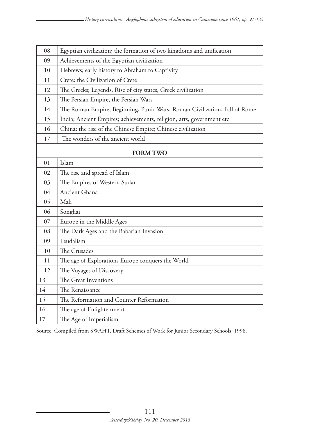| 08             | Egyptian civilization; the formation of two kingdoms and unification      |
|----------------|---------------------------------------------------------------------------|
| 09             | Achievements of the Egyptian civilization                                 |
| 10             | Hebrews; early history to Abraham to Captivity                            |
| 11             | Crete: the Civilization of Crete                                          |
| 12             | The Greeks; Legends, Rise of city states, Greek civilization              |
| 13             | The Persian Empire, the Persian Wars                                      |
| 14             | The Roman Empire; Beginning, Punic Wars, Roman Civilization, Fall of Rome |
| 15             | India; Ancient Empires; achievements, religion, arts, government etc      |
| 16             | China; the rise of the Chinese Empire; Chinese civilization               |
| 17             | The wonders of the ancient world                                          |
|                | <b>FORM TWO</b>                                                           |
| 01             | Islam                                                                     |
| 02             | The rise and spread of Islam                                              |
| 03             | The Empires of Western Sudan                                              |
| 0 <sub>4</sub> | Ancient Ghana                                                             |
| 05             | Mali                                                                      |
| 06             | Songhai                                                                   |
| 07             | Europe in the Middle Ages                                                 |
| 08             | The Dark Ages and the Babarian Invasion                                   |
| 09             | Feudalism                                                                 |
| 10             | The Crusades                                                              |
| 11             | The age of Explorations Europe conquers the World                         |
| 12             | The Voyages of Discovery                                                  |
| 13             | The Great Inventions                                                      |
| 14             | The Renaissance                                                           |
| 15             | The Reformation and Counter Reformation                                   |
| 16             | The age of Enlightenment                                                  |
| 17             | The Age of Imperialism                                                    |

Source: Compiled from SWAHT, Draft Schemes of Work for Junior Secondary Schools, 1998.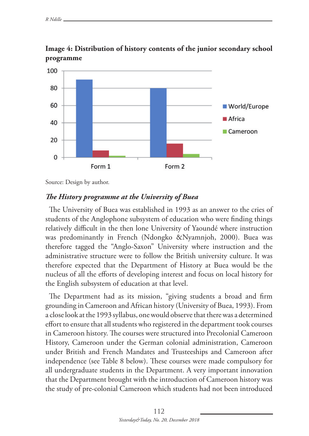

**Image 4: Distribution of history contents of the junior secondary school programme**

Source: Design by author.

### *The History programme at the University of Buea*

The University of Buea was established in 1993 as an answer to the cries of students of the Anglophone subsystem of education who were finding things relatively difficult in the then lone University of Yaoundé where instruction was predominantly in French (Ndongko &Nyamnjoh, 2000). Buea was therefore tagged the "Anglo-Saxon" University where instruction and the administrative structure were to follow the British university culture. It was therefore expected that the Department of History at Buea would be the nucleus of all the efforts of developing interest and focus on local history for the English subsystem of education at that level.

The Department had as its mission, "giving students a broad and firm grounding in Cameroon and African history (University of Buea, 1993). From a close look at the 1993 syllabus, one would observe that there was a determined effort to ensure that all students who registered in the department took courses in Cameroon history. The courses were structured into Precolonial Cameroon History, Cameroon under the German colonial administration, Cameroon under British and French Mandates and Trusteeships and Cameroon after independence (see Table 8 below). These courses were made compulsory for all undergraduate students in the Department. A very important innovation that the Department brought with the introduction of Cameroon history was the study of pre-colonial Cameroon which students had not been introduced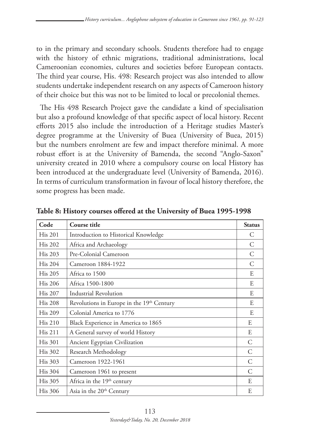to in the primary and secondary schools. Students therefore had to engage with the history of ethnic migrations, traditional administrations, local Cameroonian economies, cultures and societies before European contacts. The third year course, His. 498: Research project was also intended to allow students undertake independent research on any aspects of Cameroon history of their choice but this was not to be limited to local or precolonial themes.

The His 498 Research Project gave the candidate a kind of specialisation but also a profound knowledge of that specific aspect of local history. Recent efforts 2015 also include the introduction of a Heritage studies Master's degree programme at the University of Buea (University of Buea, 2015) but the numbers enrolment are few and impact therefore minimal. A more robust effort is at the University of Bamenda, the second "Anglo-Saxon" university created in 2010 where a compulsory course on local History has been introduced at the undergraduate level (University of Bamenda, 2016). In terms of curriculum transformation in favour of local history therefore, the some progress has been made.

| Code           | Course title                              | <b>Status</b> |
|----------------|-------------------------------------------|---------------|
| His 201        | Introduction to Historical Knowledge      | C             |
| <b>His 202</b> | Africa and Archaeology                    | C             |
| <b>His 203</b> | Pre-Colonial Cameroon                     | C             |
| His 204        | Cameroon 1884-1922                        | C             |
| <b>His 205</b> | Africa to 1500                            | E             |
| <b>His 206</b> | Africa 1500-1800                          | E             |
| <b>His 207</b> | Industrial Revolution                     | E             |
| <b>His 208</b> | Revolutions in Europe in the 19th Century | E             |
| <b>His 209</b> | Colonial America to 1776                  | E             |
| <b>His 210</b> | Black Experience in America to 1865       | E             |
| <b>His 211</b> | A General survey of world History         | E             |
| His 301        | Ancient Egyptian Civilization             | C             |
| <b>His 302</b> | Research Methodology                      | C             |
| <b>His 303</b> | Cameroon 1922-1961                        | C             |
| <b>His 304</b> | Cameroon 1961 to present                  | C             |
| His 305        | Africa in the 19 <sup>th</sup> century    | E             |
| <b>His 306</b> | Asia in the 20 <sup>th</sup> Century      | E             |

**Table 8: History courses offered at the University of Buea 1995-1998**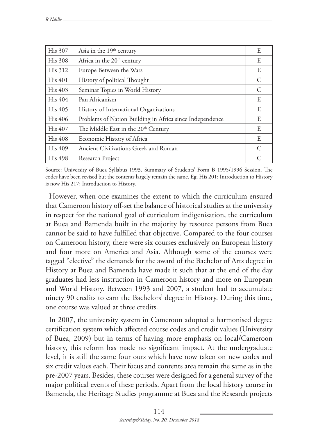| <b>His 307</b> | Asia in the 19 <sup>th</sup> century                     | E                           |
|----------------|----------------------------------------------------------|-----------------------------|
| <b>His 308</b> | Africa in the 20 <sup>th</sup> century                   | E                           |
| <b>His 312</b> | Europe Between the Wars                                  | E                           |
| His 401        | History of political Thought                             | C                           |
| His 403        | Seminar Topics in World History                          | C                           |
| <b>His 404</b> | Pan Africanism                                           | E                           |
| His 405        | History of International Organizations                   | E                           |
| <b>His 406</b> | Problems of Nation Building in Africa since Independence | E                           |
| <b>His 407</b> | The Middle East in the 20 <sup>th</sup> Century          | E                           |
| <b>His 408</b> | Economic History of Africa                               | E                           |
| <b>His 409</b> | Ancient Civilizations Greek and Roman                    | $\mathcal{C}_{\mathcal{C}}$ |
| <b>His 498</b> | Research Project                                         | $\subset$                   |

Source: University of Buea Syllabus 1993, Summary of Students' Form B 1995/1996 Session. The codes have been revised but the contents largely remain the same. Eg. His 201: Introduction to History is now His 217: Introduction to History.

However, when one examines the extent to which the curriculum ensured that Cameroon history off-set the balance of historical studies at the university in respect for the national goal of curriculum indigenisation, the curriculum at Buea and Bamenda built in the majority by resource persons from Buea cannot be said to have fulfilled that objective. Compared to the four courses on Cameroon history, there were six courses exclusively on European history and four more on America and Asia. Although some of the courses were tagged "elective" the demands for the award of the Bachelor of Arts degree in History at Buea and Bamenda have made it such that at the end of the day graduates had less instruction in Cameroon history and more on European and World History. Between 1993 and 2007, a student had to accumulate ninety 90 credits to earn the Bachelors' degree in History. During this time, one course was valued at three credits.

In 2007, the university system in Cameroon adopted a harmonised degree certification system which affected course codes and credit values (University of Buea, 2009) but in terms of having more emphasis on local/Cameroon history, this reform has made no significant impact. At the undergraduate level, it is still the same four ours which have now taken on new codes and six credit values each. Their focus and contents area remain the same as in the pre-2007 years. Besides, these courses were designed for a general survey of the major political events of these periods. Apart from the local history course in Bamenda, the Heritage Studies programme at Buea and the Research projects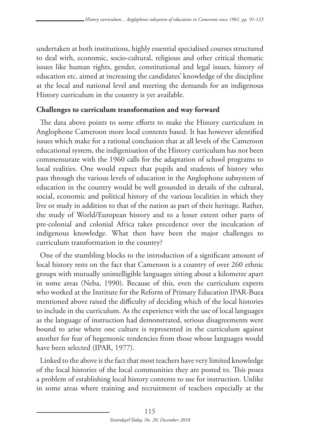undertaken at both institutions, highly essential specialised courses structured to deal with, economic, socio-cultural, religious and other critical thematic issues like human rights, gender, constitutional and legal issues, history of education etc. aimed at increasing the candidates' knowledge of the discipline at the local and national level and meeting the demands for an indigenous History curriculum in the country is yet available.

## **Challenges to curriculum transformation and way forward**

The data above points to some efforts to make the History curriculum in Anglophone Cameroon more local contents based. It has however identified issues which make for a rational conclusion that at all levels of the Cameroon educational system, the indigenisation of the History curriculum has not been commensurate with the 1960 calls for the adaptation of school programs to local realities. One would expect that pupils and students of history who pass through the various levels of education in the Anglophone subsystem of education in the country would be well grounded in details of the cultural, social, economic and political history of the various localities in which they live or study in addition to that of the nation as part of their heritage. Rather, the study of World/European history and to a lesser extent other parts of pre-colonial and colonial Africa takes precedence over the inculcation of indigenous knowledge. What then have been the major challenges to curriculum transformation in the country?

One of the stumbling blocks to the introduction of a significant amount of local history rests on the fact that Cameroon is a country of over 260 ethnic groups with mutually unintelligible languages sitting about a kilometre apart in some areas (Neba, 1990). Because of this, even the curriculum experts who worked at the Institute for the Reform of Primary Education IPAR-Buea mentioned above raised the difficulty of deciding which of the local histories to include in the curriculum. As the experience with the use of local languages as the language of instruction had demonstrated, serious disagreements were bound to arise where one culture is represented in the curriculum against another for fear of hegemonic tendencies from those whose languages would have been selected (IPAR, 1977).

Linked to the above is the fact that most teachers have very limited knowledge of the local histories of the local communities they are posted to. This poses a problem of establishing local history contents to use for instruction. Unlike in some areas where training and recruitment of teachers especially at the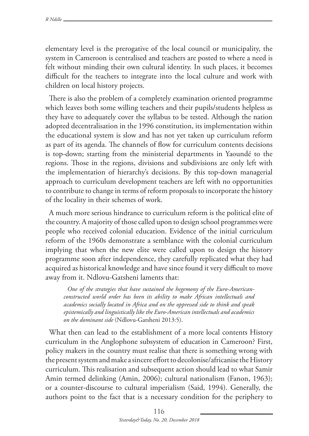elementary level is the prerogative of the local council or municipality, the system in Cameroon is centralised and teachers are posted to where a need is felt without minding their own cultural identity. In such places, it becomes difficult for the teachers to integrate into the local culture and work with children on local history projects.

There is also the problem of a completely examination oriented programme which leaves both some willing teachers and their pupils/students helpless as they have to adequately cover the syllabus to be tested. Although the nation adopted decentralisation in the 1996 constitution, its implementation within the educational system is slow and has not yet taken up curriculum reform as part of its agenda. The channels of flow for curriculum contents decisions is top-down; starting from the ministerial departments in Yaoundé to the regions. Those in the regions, divisions and subdivisions are only left with the implementation of hierarchy's decisions. By this top-down managerial approach to curriculum development teachers are left with no opportunities to contribute to change in terms of reform proposals to incorporate the history of the locality in their schemes of work.

A much more serious hindrance to curriculum reform is the political elite of the country. A majority of those called upon to design school programmes were people who received colonial education. Evidence of the initial curriculum reform of the 1960s demonstrate a semblance with the colonial curriculum implying that when the new elite were called upon to design the history programme soon after independence, they carefully replicated what they had acquired as historical knowledge and have since found it very difficult to move away from it. Ndlovu-Gatsheni laments that:

*One of the strategies that have sustained the hegemony of the Euro-Americanconstructed world order has been its ability to make African intellectuals and academics socially located in Africa and on the oppressed side to think and speak epistemically and linguistically like the Euro-American intellectuals and academics on the dominant side* (Ndlovu-Gatsheni 2013:5).

What then can lead to the establishment of a more local contents History curriculum in the Anglophone subsystem of education in Cameroon? First, policy makers in the country must realise that there is something wrong with the present system and make a sincere effort to decolonise/africanise the History curriculum. This realisation and subsequent action should lead to what Samir Amin termed delinking (Amin, 2006); cultural nationalism (Fanon, 1963); or a counter-discourse to cultural imperialism (Said, 1994). Generally, the authors point to the fact that is a necessary condition for the periphery to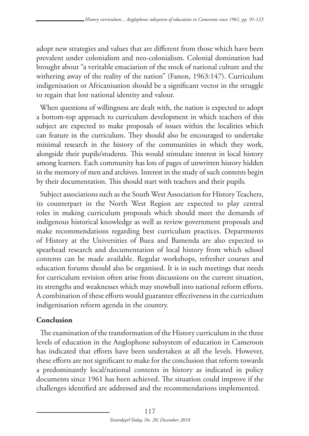adopt new strategies and values that are different from those which have been prevalent under colonialism and neo-colonialism. Colonial domination had brought about "a veritable emaciation of the stock of national culture and the withering away of the reality of the nation" (Fanon, 1963:147). Curriculum indigenisation or Africanisation should be a significant vector in the struggle to regain that lost national identity and valour.

When questions of willingness are dealt with, the nation is expected to adopt a bottom-top approach to curriculum development in which teachers of this subject are expected to make proposals of issues within the localities which can feature in the curriculum. They should also be encouraged to undertake minimal research in the history of the communities in which they work, alongside their pupils/students. This would stimulate interest in local history among learners. Each community has lots of pages of unwritten history hidden in the memory of men and archives. Interest in the study of such contents begin by their documentation. This should start with teachers and their pupils.

Subject associations such as the South West Association for History Teachers, its counterpart in the North West Region are expected to play central roles in making curriculum proposals which should meet the demands of indigenous historical knowledge as well as review government proposals and make recommendations regarding best curriculum practices. Departments of History at the Universities of Buea and Bamenda are also expected to spearhead research and documentation of local history from which school contents can be made available. Regular workshops, refresher courses and education forums should also be organised. It is in such meetings that needs for curriculum revision often arise from discussions on the current situation, its strengths and weaknesses which may snowball into national reform efforts. A combination of these efforts would guarantee effectiveness in the curriculum indigenisation reform agenda in the country.

## **Conclusion**

The examination of the transformation of the History curriculum in the three levels of education in the Anglophone subsystem of education in Cameroon has indicated that efforts have been undertaken at all the levels. However, these efforts are not significant to make for the conclusion that reform towards a predominantly local/national contents in history as indicated in policy documents since 1961 has been achieved. The situation could improve if the challenges identified are addressed and the recommendations implemented.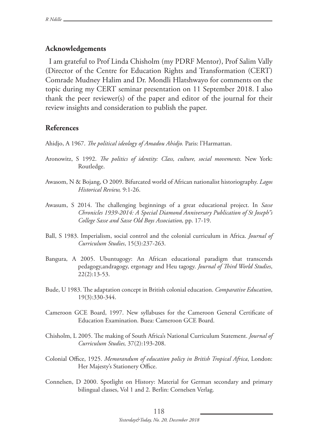### **Acknowledgements**

I am grateful to Prof Linda Chisholm (my PDRF Mentor), Prof Salim Vally (Director of the Centre for Education Rights and Transformation (CERT) Comrade Mudney Halim and Dr. Mondli Hlatshwayo for comments on the topic during my CERT seminar presentation on 11 September 2018. I also thank the peer reviewer(s) of the paper and editor of the journal for their review insights and consideration to publish the paper.

### **References**

Ahidjo, A 1967. *The political ideology of Amadou Ahidjo.* Paris: l'Harmattan.

- Aronowitz, S 1992. *The politics of identity: Class, culture, social movements.* New York: Routledge.
- Awasom, N & Bojang, O 2009. Bifurcated world of African nationalist historiography. *Lagos Historical Review,* 9:1-26.
- Awasum, S 2014. The challenging beginnings of a great educational project. In *Sasse Chronicles 1939-2014: A Special Diamond Anniversary Publication of St Joseph"s College Sasse and Sasse Old Boys Association,* pp. 17-19.
- Ball, S 1983. Imperialism, social control and the colonial curriculum in Africa. *Journal of Curriculum Studies*, 15(3):237-263.
- Bangura, A 2005. Ubuntugogy: An African educational paradigm that transcends pedagogy,andragogy, ergonagy and Heu tagogy. *Journal of Third World Studies*, 22(2):13-53.
- Bude, U 1983. The adaptation concept in British colonial education. *Comparative Education*, 19(3):330-344.
- Cameroon GCE Board, 1997. New syllabuses for the Cameroon General Certificate of Education Examination. Buea: Cameroon GCE Board.
- Chisholm, L 2005. The making of South Africa's National Curriculum Statement. *Journal of Curriculum Studies,* 37(2):193-208.
- Colonial Office, 1925. *Memorandum of education policy in British Tropical Africa*, London: Her Majesty's Stationery Office.
- Connelsen, D 2000. Spotlight on History: Material for German secondary and primary bilingual classes, Vol 1 and 2. Berlin: Cornelsen Verlag.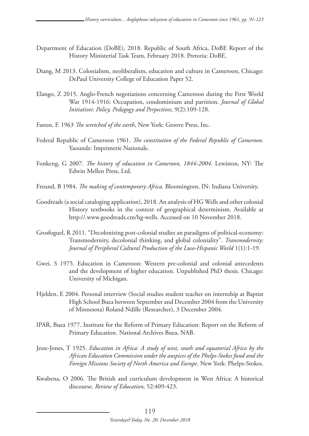- Department of Education (DoBE), 2018. Republic of South Africa, DoBE Report of the History Ministerial Task Team, February 2018. Pretoria: DoBE.
- Diang, M 2013. Colonialism, neoliberalism, education and culture in Cameroon, Chicago: DePaul University College of Education Paper 52.
- Elango, Z 2015. Anglo-French negotiations concerning Cameroon during the First World War 1914-1916: Occupation, condominium and partition. *Journal of Global Initiatives: Policy, Pedagogy and Perpectives,* 9(2):109-128.
- Fanon, F. 1963 *The wretched of the earth*, New York: Groove Press, Inc.
- Federal Republic of Cameroon 1961. *The constitution of the Federal Republic of Cameroon.*  Yaounde: Imprimerie Nationale.
- Fonkeng, G 2007. *The history of education in Cameroon, 1844-2004*. Lewiston, NY: The Edwin Mellen Press, Ltd.
- Freund, B 1984. *The making of contemporary Africa.* Bloomington, IN: Indiana University.
- Goodreads (a social cataloging application), 2018. An analysis of HG Wells and other colonial History textbooks in the context of geographical determinism. Available at http://.www.goodreads.cm/hg-wells. Accessed on 10 November 2018.
- Grosfoguel, R 2011. "Decolonizing post-colonial studies an paradigms of political-economy: Transmodernity, decolonial thinking, and global coloniality". *Transmodernity: Journal of Peripheral Cultural Production of the Luso-Hispanic World* 1(1):1-19.
- Gwei, S 1975. Education in Cameroon: Western pre-colonial and colonial antecedents and the development of higher education. Unpublished PhD thesis. Chicago: University of Michigan.
- Hjelden, E 2004. Personal interview (Social studies student teacher on internship at Baptist High School Buea between September and December 2004 from the University of Minnesota) Roland Ndille (Researcher), 3 December 2004.
- IPAR, Buea 1977. Institute for the Reform of Primary Education: Report on the Reform of Primary Education. National Archives Buea, NAB.
- Jesse-Jones, T 1925. *Education in Africa: A study of west, south and equatorial Africa by the African Education Commission under the auspices of the Phelps-Stokes fund and the Foreign Missions Society of North America and Europe*. New York: Phelps-Stokes.
- Kwabena, O 2006. The British and curriculum development in West Africa: A historical discourse. *Review of Education,* 52:409-423.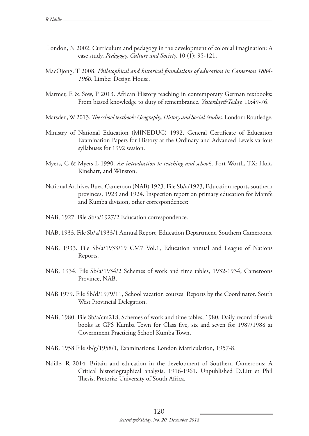- London, N 2002. Curriculum and pedagogy in the development of colonial imagination: A case study. *Pedagogy, Culture and Society,* 10 (1): 95-121.
- MacOjong, T 2008. *Philosophical and historical foundations of education in Cameroon 1884- 1960*. Limbe: Design House.
- Marmer, E & Sow, P 2013. African History teaching in contemporary German textbooks: From biased knowledge to duty of remembrance. *Yesterday&Today,* 10:49-76.
- Marsden, W 2013. *The school textbook: Geography, History and Social Studies.* London: Routledge.
- Ministry of National Education (MINEDUC) 1992. General Certificate of Education Examination Papers for History at the Ordinary and Advanced Levels various syllabuses for 1992 session.
- Myers, C & Myers L 1990. *An introduction to teaching and schools*. Fort Worth, TX: Holt, Rinehart, and Winston.
- National Archives Buea-Cameroon (NAB) 1923. File Sb/a/1923, Education reports southern provinces, 1923 and 1924. Inspection report on primary education for Mamfe and Kumba division, other correspondences:
- NAB, 1927. File Sb/a/1927/2 Education correspondence.
- NAB, 1933. File Sb/a/1933/1 Annual Report, Education Department, Southern Cameroons.
- NAB, 1933. File Sb/a/1933/19 CM7 Vol.1, Education annual and League of Nations Reports.
- NAB, 1934. File Sb/a/1934/2 Schemes of work and time tables, 1932-1934, Cameroons Province, NAB.
- NAB 1979. File Sb/d/1979/11, School vacation courses: Reports by the Coordinator. South West Provincial Delegation.
- NAB, 1980. File Sb/a/cm218, Schemes of work and time tables, 1980, Daily record of work books at GPS Kumba Town for Class five, six and seven for 1987/1988 at Government Practicing School Kumba Town.
- NAB, 1958 File sb/g/1958/1, Examinations: London Matriculation, 1957-8.
- Ndille, R 2014. Britain and education in the development of Southern Cameroons: A Critical historiographical analysis, 1916-1961. Unpublished D.Litt et Phil Thesis, Pretoria: University of South Africa.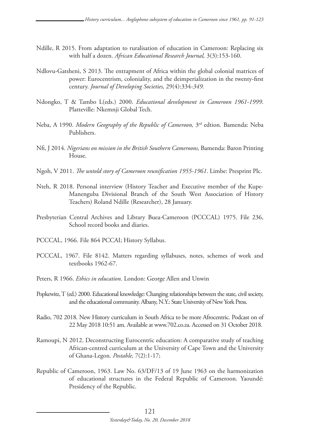- Ndille, R 2015. From adaptation to ruralisation of education in Cameroon: Replacing six with half a dozen. *African Educational Research Journal,* 3(3):153-160.
- Ndlovu-Gatsheni, S 2013. The entrapment of Africa within the global colonial matrices of power: Eurocentrism, coloniality, and the deimperialization in the twenty-first century. *Journal of Developing Societies,* 29(4):334*-349.*
- Ndongko, T & Tambo L(eds.) 2000. *Educational development in Cameroon 1961-1999*. Platteville: Nkemnji Global Tech.
- Neba, A 1990. *Modern Geography of the Republic of Cameroon,* 3rd edtion*.* Bamenda: Neba Publishers.
- Nfi, J 2014. *Nigerians on mission in the British Southern Cameroons,* Bamenda: Baron Printing House.
- Ngoh, V 2011. *The untold story of Cameroon reunification 1955-1961*. Limbe: Presprint Plc.
- Nteh, R 2018. Personal interview (History Teacher and Executive member of the Kupe-Manenguba Divisional Branch of the South West Association of History Teachers) Roland Ndille (Researcher), 28 January.
- Presbyterian Central Archives and Library Buea-Cameroon (PCCCAL) 1975. File 236, School record books and diaries.
- PCCCAL, 1966. File 864 PCCAI; History Syllabus.
- PCCCAL, 1967. File 8142. Matters regarding syllabuses, notes, schemes of work and textbooks 1962-67.
- Peters, R 1966. *Ethics in education*. London: George Allen and Unwin
- Popkewitz, T (ed.) 2000. Educational knowledge: Changing relationships between the state, civil society, and the educational community. Albany, N.Y.: State University of New York Press.
- Radio, 702 2018. New History curriculum in South Africa to be more Afrocentric. Podcast on of 22 May 2018 10:51 am. Available at www.702.co.za. Accessed on 31 October 2018.
- Ramoupi, N 2012. Deconstructing Eurocentric education: A comparative study of teaching African-centred curriculum at the University of Cape Town and the University of Ghana-Legon. *Postable,* 7(2):1-17;
- Republic of Cameroon, 1963. Law No. 63/DF/13 of 19 June 1963 on the harmonization of educational structures in the Federal Republic of Cameroon. Yaoundé: Presidency of the Republic.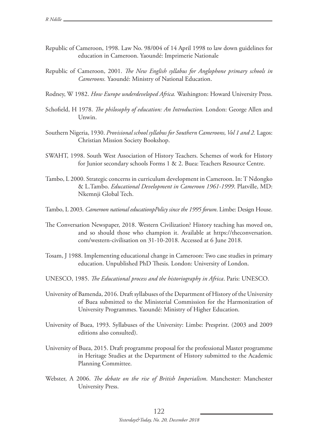- Republic of Cameroon, 1998. Law No. 98/004 of 14 April 1998 to law down guidelines for education in Cameroon. Yaoundé: Imprimerie Nationale
- Republic of Cameroon, 2001. *The New English syllabus for Anglophone primary schools in Cameroons.* Yaoundé: Ministry of National Education.
- Rodney, W 1982. *How Europe underdeveloped Africa.* Washington: Howard University Press.
- Schofield, H 1978. *The philosophy of education: An Introduction.* London: George Allen and Unwin.
- Southern Nigeria, 1930. *Provisional school syllabus for Southern Cameroons, Vol 1 and 2.* Lagos: Christian Mission Society Bookshop.
- SWAHT, 1998. South West Association of History Teachers. Schemes of work for History for Junior secondary schools Forms 1 & 2. Buea: Teachers Resource Centre.
- Tambo, L 2000. Strategic concerns in curriculum development in Cameroon. In: T Ndongko & L.Tambo. *Educational Development in Cameroon 1961-1999*. Platville, MD: Nkemnji Global Tech.
- Tambo, L 2003. *Cameroon national educationpPolicy since the 1995 forum*. Limbe: Design House.
- The Conversation Newspaper, 2018. Western Civilization? History teaching has moved on, and so should those who champion it. Available at https://theconversation. com/western-civilisation on 31-10-2018. Accessed at 6 June 2018.
- Tosam, J 1988. Implementing educational change in Cameroon: Two case studies in primary education. Unpublished PhD Thesis. London: University of London.
- UNESCO, 1985. *The Educational process and the historiography in Africa*. Paris: UNESCO.
- University of Bamenda, 2016. Draft syllabuses of the Department of History of the University of Buea submitted to the Ministerial Commission for the Harmonization of University Programmes. Yaoundé: Ministry of Higher Education.
- University of Buea, 1993. Syllabuses of the University: Limbe: Presprint. (2003 and 2009 editions also consulted).
- University of Buea, 2015. Draft programme proposal for the professional Master programme in Heritage Studies at the Department of History submitted to the Academic Planning Committee.
- Webster, A 2006. *The debate on the rise of British Imperialism*. Manchester: Manchester University Press.